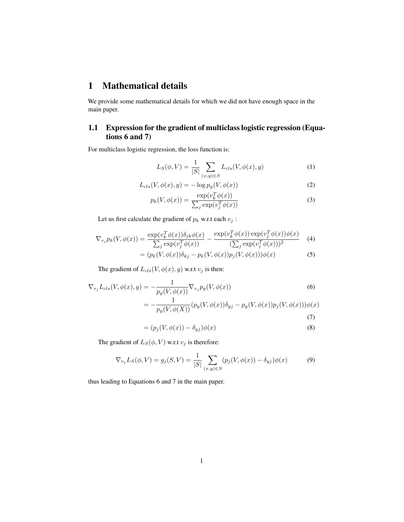# 1 Mathematical details

We provide some mathematical details for which we did not have enough space in the main paper.

#### 1.1 Expression for the gradient of multiclass logistic regression (Equations 6 and 7)

For multiclass logistic regression, the loss function is:

$$
L_S(\phi, V) = \frac{1}{|S|} \sum_{(x,y) \in S} L_{cls}(V, \phi(x), y)
$$
 (1)

$$
L_{cls}(V, \phi(x), y) = -\log p_y(V, \phi(x))
$$
\n(2)

$$
p_k(V, \phi(x)) = \frac{\exp(v_k^T \phi(x))}{\sum_j \exp(v_j^T \phi(x))}
$$
\n(3)

Let us first calculate the gradient of  $p_k$  w.r.t each  $v_j$  :

$$
\nabla_{v_j} p_k(V, \phi(x)) = \frac{\exp(v_k^T \phi(x)) \delta_{jk} \phi(x)}{\sum_j \exp(v_j^T \phi(x))} - \frac{\exp(v_k^T \phi(x)) \exp(v_j^T \phi(x)) \phi(x)}{(\sum_j \exp(v_j^T \phi(x)))^2}
$$
(4)

$$
= (p_k(V, \phi(x))\delta_{kj} - p_k(V, \phi(x))p_j(V, \phi(x)))\phi(x)
$$
\n(5)

The gradient of  $L_{cls}(V, \phi(x), y)$  w.r.t  $v_j$  is then:

$$
\nabla_{v_j} L_{cls}(V, \phi(x), y) = -\frac{1}{p_y(V, \phi(x))} \nabla_{v_j} p_y(V, \phi(x))
$$
(6)  

$$
= -\frac{1}{p_y(V, \phi(X))} (p_y(V, \phi(x)) \delta_{yj} - p_y(V, \phi(x)) p_j(V, \phi(x))) \phi(x)
$$
(7)

$$
= (p_j(V, \phi(x)) - \delta_{yj})\phi(x) \tag{8}
$$

The gradient of  $L_S(\phi, V)$  w.r.t  $v_j$  is therefore:

$$
\nabla_{v_j} L_S(\phi, V) = g_j(S, V) = \frac{1}{|S|} \sum_{(x, y) \in S} (p_j(V, \phi(x)) - \delta_{y_j}) \phi(x)
$$
(9)

thus leading to Equations 6 and 7 in the main paper.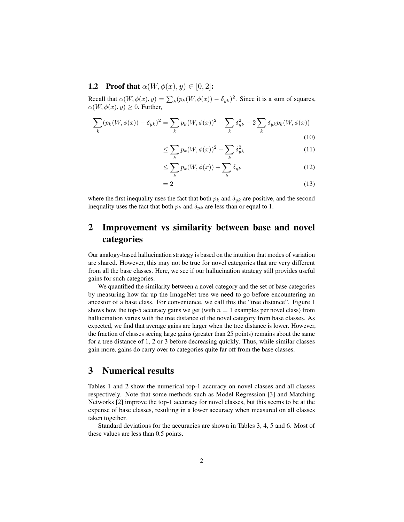#### 1.2 Proof that  $\alpha(W, \phi(x), y) \in [0, 2]$ :

Recall that  $\alpha(W, \phi(x), y) = \sum_{k} (p_k(W, \phi(x)) - \delta_{yk})^2$ . Since it is a sum of squares,  $\alpha(W, \phi(x), y) \geq 0$ . Further,

$$
\sum_{k} (p_k(W, \phi(x)) - \delta_{yk})^2 = \sum_{k} p_k(W, \phi(x))^2 + \sum_{k} \delta_{yk}^2 - 2 \sum_{k} \delta_{yk} p_k(W, \phi(x))
$$
\n(10)

$$
\leq \sum_{k} p_k(W, \phi(x))^2 + \sum_{k} \delta_{yk}^2 \tag{11}
$$

$$
\leq \sum_{k} p_k(W, \phi(x)) + \sum_{k} \delta_{yk} \tag{12}
$$

$$
=2\tag{13}
$$

where the first inequality uses the fact that both  $p_k$  and  $\delta_{yk}$  are positive, and the second inequality uses the fact that both  $p_k$  and  $\delta_{yk}$  are less than or equal to 1.

# 2 Improvement vs similarity between base and novel categories

Our analogy-based hallucination strategy is based on the intuition that modes of variation are shared. However, this may not be true for novel categories that are very different from all the base classes. Here, we see if our hallucination strategy still provides useful gains for such categories.

We quantified the similarity between a novel category and the set of base categories by measuring how far up the ImageNet tree we need to go before encountering an ancestor of a base class. For convenience, we call this the "tree distance". Figure 1 shows how the top-5 accuracy gains we get (with  $n = 1$  examples per novel class) from hallucination varies with the tree distance of the novel category from base classes. As expected, we find that average gains are larger when the tree distance is lower. However, the fraction of classes seeing large gains (greater than 25 points) remains about the same for a tree distance of 1, 2 or 3 before decreasing quickly. Thus, while similar classes gain more, gains do carry over to categories quite far off from the base classes.

#### 3 Numerical results

Tables 1 and 2 show the numerical top-1 accuracy on novel classes and all classes respectively. Note that some methods such as Model Regression [3] and Matching Networks [2] improve the top-1 accuracy for novel classes, but this seems to be at the expense of base classes, resulting in a lower accuracy when measured on all classes taken together.

Standard deviations for the accuracies are shown in Tables 3, 4, 5 and 6. Most of these values are less than 0.5 points.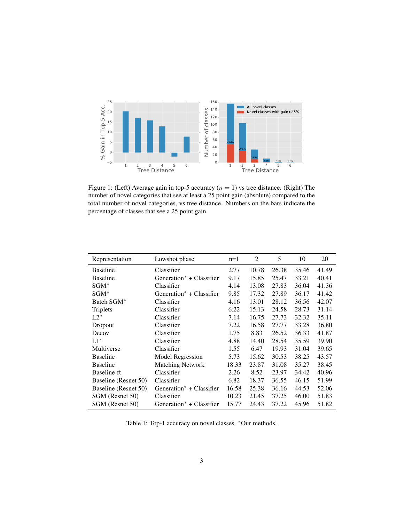

Figure 1: (Left) Average gain in top-5 accuracy ( $n = 1$ ) vs tree distance. (Right) The number of novel categories that see at least a 25 point gain (absolute) compared to the total number of novel categories, vs tree distance. Numbers on the bars indicate the percentage of classes that see a 25 point gain.

| Representation       | Lowshot phase                        | $n=1$ | 2     | 5     | 10    | 20    |
|----------------------|--------------------------------------|-------|-------|-------|-------|-------|
| <b>Baseline</b>      | Classifier                           | 2.77  | 10.78 | 26.38 | 35.46 | 41.49 |
| <b>Baseline</b>      | Generation <sup>*</sup> + Classifier | 9.17  | 15.85 | 25.47 | 33.21 | 40.41 |
| $SGM^*$              | Classifier                           | 4.14  | 13.08 | 27.83 | 36.04 | 41.36 |
| $SGM^*$              | Generation <sup>*</sup> + Classifier | 9.85  | 17.32 | 27.89 | 36.17 | 41.42 |
| Batch SGM*           | Classifier                           | 4.16  | 13.01 | 28.12 | 36.56 | 42.07 |
| Triplets             | Classifier                           | 6.22  | 15.13 | 24.58 | 28.73 | 31.14 |
| $L2^*$               | Classifier                           | 7.14  | 16.75 | 27.73 | 32.32 | 35.11 |
| Dropout              | Classifier<br>Classifier             | 7.22  | 16.58 | 27.77 | 33.28 | 36.80 |
| Decov                |                                      | 1.75  | 8.83  | 26.52 | 36.33 | 41.87 |
| $L1^*$               | Classifier                           | 4.88  | 14.40 | 28.54 | 35.59 | 39.90 |
| Multiverse           | Classifier                           | 1.55  | 6.47  | 19.93 | 31.04 | 39.65 |
| <b>Baseline</b>      | Model Regression                     | 5.73  | 15.62 | 30.53 | 38.25 | 43.57 |
| <b>Baseline</b>      | <b>Matching Network</b>              | 18.33 | 23.87 | 31.08 | 35.27 | 38.45 |
| Baseline-ft          | Classifier                           | 2.26  | 8.52  | 23.97 | 34.42 | 40.96 |
| Baseline (Resnet 50) | Classifier                           | 6.82  | 18.37 | 36.55 | 46.15 | 51.99 |
| Baseline (Resnet 50) | Generation <sup>*</sup> + Classifier | 16.58 | 25.38 | 36.16 | 44.53 | 52.06 |
| SGM (Resnet 50)      | Classifier                           | 10.23 | 21.45 | 37.25 | 46.00 | 51.83 |
| SGM (Resnet 50)      | Generation <sup>*</sup> + Classifier | 15.77 | 24.43 | 37.22 | 45.96 | 51.82 |

Table 1: Top-1 accuracy on novel classes. <sup>∗</sup>Our methods.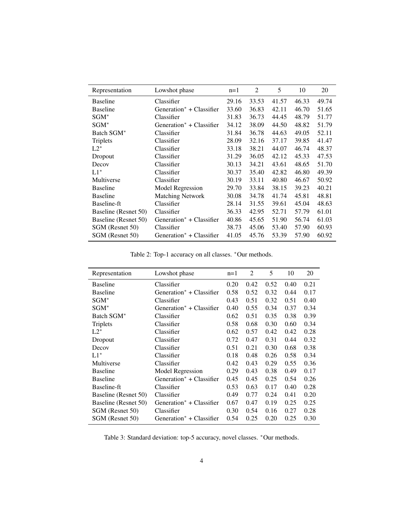| Representation       | Lowshot phase                        | $n=1$ | 2     | 5     | 10    | 20    |
|----------------------|--------------------------------------|-------|-------|-------|-------|-------|
| <b>Baseline</b>      | Classifier                           | 29.16 | 33.53 | 41.57 | 46.33 | 49.74 |
| <b>Baseline</b>      | Generation <sup>*</sup> + Classifier | 33.60 | 36.83 | 42.11 | 46.70 | 51.65 |
| $SGM^*$              | Classifier                           | 31.83 | 36.73 | 44.45 | 48.79 | 51.77 |
| $SGM^*$              | Generation <sup>*</sup> + Classifier | 34.12 | 38.09 | 44.50 | 48.82 | 51.79 |
| Batch SGM*           | Classifier                           | 31.84 | 36.78 | 44.63 | 49.05 | 52.11 |
| Triplets             | Classifier                           | 28.09 | 32.16 | 37.17 | 39.85 | 41.47 |
| $L2^*$               | Classifier                           | 33.18 | 38.21 | 44.07 | 46.74 | 48.37 |
| Dropout              | Classifier                           | 31.29 | 36.05 | 42.12 | 45.33 | 47.53 |
| Decov                | Classifier                           | 30.13 | 34.21 | 43.61 | 48.65 | 51.70 |
| $L1^*$               | Classifier                           | 30.37 | 35.40 | 42.82 | 46.80 | 49.39 |
| Multiverse           | Classifier                           | 30.19 | 33.11 | 40.80 | 46.67 | 50.92 |
| <b>Baseline</b>      | Model Regression                     | 29.70 | 33.84 | 38.15 | 39.23 | 40.21 |
| <b>Baseline</b>      | <b>Matching Network</b>              | 30.08 | 34.78 | 41.74 | 45.81 | 48.81 |
| Baseline-ft          | Classifier                           | 28.14 | 31.55 | 39.61 | 45.04 | 48.63 |
| Baseline (Resnet 50) | Classifier                           | 36.33 | 42.95 | 52.71 | 57.79 | 61.01 |
| Baseline (Resnet 50) | Generation <sup>*</sup> + Classifier | 40.86 | 45.65 | 51.90 | 56.74 | 61.03 |
| SGM (Resnet 50)      | Classifier                           | 38.73 | 45.06 | 53.40 | 57.90 | 60.93 |
| SGM (Resnet 50)      | Generation <sup>*</sup> + Classifier | 41.05 | 45.76 | 53.39 | 57.90 | 60.92 |

Table 2: Top-1 accuracy on all classes. <sup>∗</sup>Our methods.

| Representation       | Lowshot phase                        | $n=1$ | 2    | 5    | 10   | 20   |
|----------------------|--------------------------------------|-------|------|------|------|------|
| <b>Baseline</b>      | Classifier                           | 0.20  | 0.42 | 0.52 | 0.40 | 0.21 |
| <b>Baseline</b>      | Generation <sup>*</sup> + Classifier | 0.58  | 0.52 | 0.32 | 0.44 | 0.17 |
| $SGM^*$              | Classifier                           | 0.43  | 0.51 | 0.32 | 0.51 | 0.40 |
| $SGM^*$              | Generation <sup>*</sup> + Classifier | 0.40  | 0.55 | 0.34 | 0.37 | 0.34 |
| Batch SGM*           | Classifier                           | 0.62  | 0.51 | 0.35 | 0.38 | 0.39 |
| <b>Triplets</b>      | Classifier                           | 0.58  | 0.68 | 0.30 | 0.60 | 0.34 |
| $L2^*$               | Classifier                           | 0.62  | 0.57 | 0.42 | 0.42 | 0.28 |
| Dropout              | Classifier                           | 0.72  | 0.47 | 0.31 | 0.44 | 0.32 |
| Decov                | Classifier                           | 0.51  | 0.21 | 0.30 | 0.68 | 0.38 |
| $L1^*$               | Classifier                           | 0.18  | 0.48 | 0.26 | 0.58 | 0.34 |
| Multiverse           | Classifier                           | 0.42  | 0.43 | 0.29 | 0.55 | 0.36 |
| <b>Baseline</b>      | Model Regression                     | 0.29  | 0.43 | 0.38 | 0.49 | 0.17 |
| <b>Baseline</b>      | Generation <sup>*</sup> + Classifier | 0.45  | 0.45 | 0.25 | 0.54 | 0.26 |
| Baseline-ft          | Classifier                           | 0.53  | 0.63 | 0.17 | 0.40 | 0.28 |
| Baseline (Resnet 50) | Classifier                           | 0.49  | 0.77 | 0.24 | 0.41 | 0.20 |
| Baseline (Resnet 50) | Generation <sup>*</sup> + Classifier | 0.67  | 0.47 | 0.19 | 0.25 | 0.25 |
| SGM (Resnet 50)      | Classifier                           | 0.30  | 0.54 | 0.16 | 0.27 | 0.28 |
| SGM (Resnet 50)      | Generation <sup>*</sup> + Classifier | 0.54  | 0.25 | 0.20 | 0.25 | 0.30 |

Table 3: Standard deviation: top-5 accuracy, novel classes. <sup>∗</sup>Our methods.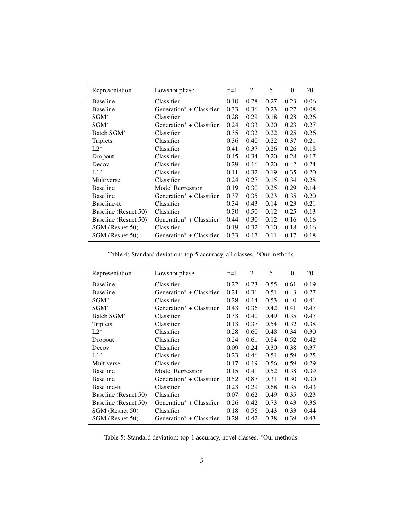| Representation         | Lowshot phase                        | $n=1$ | 2    | 5    | 10   | 20   |
|------------------------|--------------------------------------|-------|------|------|------|------|
| <b>Baseline</b>        | Classifier                           | 0.10  | 0.28 | 0.27 | 0.23 | 0.06 |
| <b>Baseline</b>        | Generation <sup>*</sup> + Classifier | 0.33  | 0.36 | 0.23 | 0.27 | 0.08 |
| $SGM^*$                | Classifier                           | 0.28  | 0.29 | 0.18 | 0.28 | 0.26 |
| $SGM^*$                | Generation <sup>*</sup> + Classifier | 0.24  | 0.33 | 0.20 | 0.23 | 0.27 |
| Batch SGM <sup>*</sup> | Classifier                           | 0.35  | 0.32 | 0.22 | 0.25 | 0.26 |
| <b>Triplets</b>        | Classifier                           | 0.36  | 0.40 | 0.22 | 0.37 | 0.21 |
| $L2^*$                 | Classifier                           | 0.41  | 0.37 | 0.26 | 0.26 | 0.18 |
| Dropout                | Classifier                           | 0.45  | 0.34 | 0.20 | 0.28 | 0.17 |
| Decov                  | Classifier                           | 0.29  | 0.16 | 0.20 | 0.42 | 0.24 |
| $L1^*$                 | Classifier                           | 0.11  | 0.32 | 0.19 | 0.35 | 0.20 |
| Multiverse             | Classifier                           | 0.24  | 0.27 | 0.15 | 0.34 | 0.28 |
| <b>Baseline</b>        | <b>Model Regression</b>              | 0.19  | 0.30 | 0.25 | 0.29 | 0.14 |
| <b>Baseline</b>        | Generation <sup>*</sup> + Classifier | 0.37  | 0.35 | 0.23 | 0.35 | 0.20 |
| Baseline-ft            | Classifier                           | 0.34  | 0.43 | 0.14 | 0.23 | 0.21 |
| Baseline (Resnet 50)   | Classifier                           | 0.30  | 0.50 | 0.12 | 0.25 | 0.13 |
| Baseline (Resnet 50)   | Generation <sup>*</sup> + Classifier | 0.44  | 0.30 | 0.12 | 0.16 | 0.16 |
| SGM (Resnet 50)        | Classifier                           | 0.19  | 0.32 | 0.10 | 0.18 | 0.16 |
| SGM (Resnet 50)        | Generation <sup>*</sup> + Classifier | 0.33  | 0.17 | 0.11 | 0.17 | 0.18 |

Table 4: Standard deviation: top-5 accuracy, all classes. <sup>∗</sup>Our methods.

| Representation         | Lowshot phase                        | $n=1$ | 2    | 5    | 10   | 20   |
|------------------------|--------------------------------------|-------|------|------|------|------|
| <b>Baseline</b>        | Classifier                           | 0.22  | 0.23 | 0.55 | 0.61 | 0.19 |
| <b>Baseline</b>        | Generation <sup>*</sup> + Classifier | 0.21  | 0.31 | 0.51 | 0.43 | 0.27 |
| $SGM^*$                | Classifier                           | 0.28  | 0.14 | 0.53 | 0.40 | 0.41 |
| $SGM^*$                | Generation* + Classifier             | 0.43  | 0.36 | 0.42 | 0.41 | 0.47 |
| Batch SGM <sup>*</sup> | Classifier                           | 0.33  | 0.40 | 0.49 | 0.35 | 0.47 |
| <b>Triplets</b>        | Classifier                           | 0.13  | 0.37 | 0.54 | 0.32 | 0.38 |
| $L2^*$                 | Classifier                           | 0.28  | 0.60 | 0.48 | 0.34 | 0.30 |
| Dropout                | Classifier                           | 0.24  | 0.61 | 0.84 | 0.52 | 0.42 |
| Decov                  | Classifier                           | 0.09  | 0.24 | 0.30 | 0.38 | 0.37 |
| $L1^*$                 | Classifier                           | 0.23  | 0.46 | 0.51 | 0.59 | 0.25 |
| Multiverse             | Classifier                           | 0.17  | 0.19 | 0.56 | 0.59 | 0.29 |
| <b>Baseline</b>        | <b>Model Regression</b>              | 0.15  | 0.41 | 0.52 | 0.38 | 0.39 |
| <b>Baseline</b>        | Generation <sup>*</sup> + Classifier | 0.52  | 0.87 | 0.31 | 0.30 | 0.30 |
| Baseline-ft            | Classifier                           | 0.23  | 0.29 | 0.68 | 0.35 | 0.43 |
| Baseline (Resnet 50)   | Classifier                           | 0.07  | 0.62 | 0.49 | 0.35 | 0.23 |
| Baseline (Resnet 50)   | Generation <sup>*</sup> + Classifier | 0.26  | 0.42 | 0.73 | 0.43 | 0.36 |
| SGM (Resnet 50)        | Classifier                           | 0.18  | 0.56 | 0.43 | 0.33 | 0.44 |
| SGM (Resnet 50)        | Generation <sup>*</sup> + Classifier | 0.28  | 0.42 | 0.38 | 0.39 | 0.43 |

Table 5: Standard deviation: top-1 accuracy, novel classes. <sup>∗</sup>Our methods.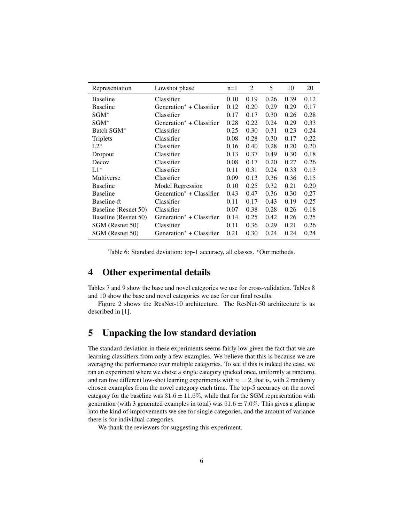| Representation                                          | Lowshot phase                        | $n=1$ | 2    | 5    | 10   | 20   |
|---------------------------------------------------------|--------------------------------------|-------|------|------|------|------|
| <b>Baseline</b>                                         | Classifier                           | 0.10  | 0.19 | 0.26 | 0.39 | 0.12 |
| <b>Baseline</b>                                         | Generation <sup>*</sup> + Classifier | 0.12  | 0.20 | 0.29 | 0.29 | 0.17 |
| $SGM^*$                                                 | Classifier                           | 0.17  | 0.17 | 0.30 | 0.26 | 0.28 |
| $SGM^*$                                                 | Generation <sup>*</sup> + Classifier | 0.28  | 0.22 | 0.24 | 0.29 | 0.33 |
| Batch SGM*                                              | Classifier                           | 0.25  | 0.30 | 0.31 | 0.23 | 0.24 |
| <b>Triplets</b>                                         | Classifier                           | 0.08  | 0.28 | 0.30 | 0.17 | 0.22 |
| $L2^*$                                                  | Classifier                           |       | 0.40 | 0.28 | 0.20 | 0.20 |
| Dropout                                                 | Classifier                           | 0.13  | 0.37 | 0.49 | 0.30 | 0.18 |
| Decov                                                   | Classifier                           |       | 0.17 | 0.20 | 0.27 | 0.26 |
| $L1^*$                                                  | Classifier                           |       | 0.31 | 0.24 | 0.33 | 0.13 |
| Multiverse                                              | Classifier                           | 0.09  | 0.13 | 0.36 | 0.36 | 0.15 |
| <b>Baseline</b>                                         | Model Regression                     | 0.10  | 0.25 | 0.32 | 0.21 | 0.20 |
| <b>Baseline</b>                                         | Generation <sup>*</sup> + Classifier | 0.43  | 0.47 | 0.36 | 0.30 | 0.27 |
| Baseline-ft                                             | Classifier                           | 0.11  | 0.17 | 0.43 | 0.19 | 0.25 |
| Baseline (Resnet 50)                                    | Classifier                           | 0.07  | 0.38 | 0.28 | 0.26 | 0.18 |
| Baseline (Resnet 50)                                    | Generation <sup>*</sup> + Classifier |       | 0.25 | 0.42 | 0.26 | 0.25 |
| SGM (Resnet 50)<br>Classifier                           |                                      | 0.11  | 0.36 | 0.29 | 0.21 | 0.26 |
| SGM (Resnet 50)<br>Generation <sup>*</sup> + Classifier |                                      | 0.21  | 0.30 | 0.24 | 0.24 | 0.24 |

Table 6: Standard deviation: top-1 accuracy, all classes. <sup>∗</sup>Our methods.

## 4 Other experimental details

Tables 7 and 9 show the base and novel categories we use for cross-validation. Tables 8 and 10 show the base and novel categories we use for our final results.

Figure 2 shows the ResNet-10 architecture. The ResNet-50 architecture is as described in [1].

### 5 Unpacking the low standard deviation

The standard deviation in these experiments seems fairly low given the fact that we are learning classifiers from only a few examples. We believe that this is because we are averaging the performance over multiple categories. To see if this is indeed the case, we ran an experiment where we chose a single category (picked once, uniformly at random), and ran five different low-shot learning experiments with  $n = 2$ , that is, with 2 randomly chosen examples from the novel category each time. The top-5 accuracy on the novel category for the baseline was  $31.6 \pm 11.6\%$ , while that for the SGM representation with generation (with 3 generated examples in total) was  $61.6 \pm 7.0\%$ . This gives a glimpse into the kind of improvements we see for single categories, and the amount of variance there is for individual categories.

We thank the reviewers for suggesting this experiment.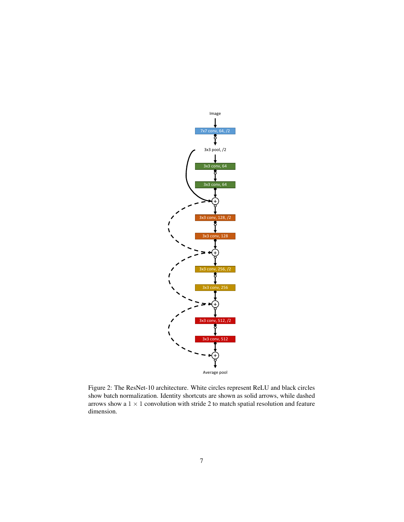

Figure 2: The ResNet-10 architecture. White circles represent ReLU and black circles show batch normalization. Identity shortcuts are shown as solid arrows, while dashed arrows show a  $1 \times 1$  convolution with stride 2 to match spatial resolution and feature dimension.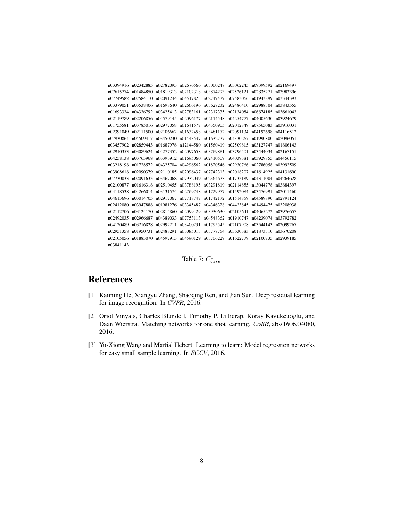|           |                               |  | n03394916 n02342885 n02782093 n02676566 n03000247 n03062245 n09399592 n02169497 |                               |           |
|-----------|-------------------------------|--|---------------------------------------------------------------------------------|-------------------------------|-----------|
|           |                               |  | n07615774 n01484850 n01819313 n02102318 n03874293                               | n02526121 n02835271 n03983396 |           |
|           |                               |  | n07749582 n07584110 n02091244 n04517823 n02749479 n07583066 n01943899 n03344393 |                               |           |
|           |                               |  | n03379051 n03538406 n01698640 n02666196 n03627232 n02486410 n02988304           |                               | n03843555 |
|           |                               |  | n01693334 n04336792 n03425413 n02783161 n02317335 n02134084 n06874185           |                               | n03661043 |
| n02119789 |                               |  | n02206856 n04579145 n02096177 n02114548 n04254777 n04005630                     |                               | n03924679 |
|           |                               |  | n01755581 n03785016 n02977058 n01641577 n04350905 n02012849 n07565083           |                               | n03916031 |
| n02391049 |                               |  | n02111500 n02106662 n01632458 n03481172 n02091134 n04192698                     |                               | n04116512 |
|           |                               |  | n07930864 n04509417 n03450230 n01443537 n01632777 n04330267 n01990800 n02096051 |                               |           |
| n03457902 |                               |  | n02859443 n01687978 n12144580 n01560419                                         | n02509815 n03127747           | n01806143 |
|           |                               |  | n02910353 n03089624 n04277352 n02097658 n03769881                               | n03796401 n03444034 n02167151 |           |
|           |                               |  | n04258138 n03763968 n03393912 n01695060 n02410509 n04039381 n03929855 n04456115 |                               |           |
|           |                               |  | n03218198 n01728572 n04325704 n04296562 n01820546 n02930766 n02786058 n03992509 |                               |           |
|           |                               |  | n03908618 n02090379 n02110185 n02096437 n07742313 n02018207 n01614925 n04131690 |                               |           |
|           |                               |  | n07730033 n02091635 n03467068 n07932039 n02364673 n01735189 n04311004 n04264628 |                               |           |
|           |                               |  | n02100877 n01616318 n02510455 n03788195 n03291819 n02114855 n13044778 n03884397 |                               |           |
|           |                               |  | n04118538 n04266014 n03131574 n02769748 n01729977 n01592084 n03476991 n02011460 |                               |           |
|           |                               |  | n04613696 n03014705 n02917067 n07718747 n01742172 n01514859 n04589890 n02791124 |                               |           |
|           |                               |  | n02412080 n03947888 n01981276 n03345487 n04346328 n04423845 n01494475           |                               | n03208938 |
|           |                               |  | n02112706 n03124170 n02814860 n02099429 n03930630 n02105641 n04065272 n03976657 |                               |           |
| n02492035 | n02966687 n04389033           |  | n07753113 n04548362 n01910747 n04239074                                         |                               | n03792782 |
|           |                               |  | n04120489 n03216828 n02992211 n03400231 n01795545 n02107908 n03544143 n02099267 |                               |           |
|           | n02951358 n01950731 n02488291 |  | n03085013 n03777754 n03630383 n01873310 n03670208                               |                               |           |
|           |                               |  | n02105056 n01883070 n04597913 n04590129 n03706229 n01622779 n02100735 n02939185 |                               |           |
| n03841143 |                               |  |                                                                                 |                               |           |

Table 7:  $C^1_{base}$ 

# **References**

- [1] Kaiming He, Xiangyu Zhang, Shaoqing Ren, and Jian Sun. Deep residual learning for image recognition. In CVPR, 2016.
- [2] Oriol Vinyals, Charles Blundell, Timothy P. Lillicrap, Koray Kavukcuoglu, and Daan Wierstra. Matching networks for one shot learning. CoRR, abs/1606.04080, 2016.
- [3] Yu-Xiong Wang and Martial Hebert. Learning to learn: Model regression networks for easy small sample learning. In ECCV, 2016.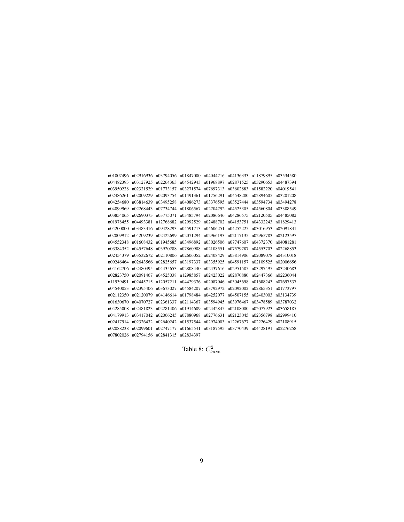|  |                                         |  | n01807496 n02916936 n03794056 n01847000 n04044716 n04136333 n11879895 n03534580 |  |  |
|--|-----------------------------------------|--|---------------------------------------------------------------------------------|--|--|
|  |                                         |  | n04482393 n03127925 n02264363 n04542943 n01968897 n02871525 n03290653 n04487394 |  |  |
|  |                                         |  | n03950228 n02321529 n01773157 n03271574 n07697313 n03602883 n01582220 n04019541 |  |  |
|  |                                         |  | n02486261 n02009229 n02093754 n01491361 n01756291 n04548280 n02894605 n03201208 |  |  |
|  |                                         |  | n04254680 n03814639 n03495258 n04086273 n03376595 n03527444 n03594734 n03494278 |  |  |
|  |                                         |  | n04099969 n02268443 n07734744 n01806567 n02704792 n04525305 n04560804 n03388549 |  |  |
|  |                                         |  | n03854065 n02690373 n03775071 n03485794 n02086646 n04286575 n02120505 n04485082 |  |  |
|  |                                         |  | n01978455 n04493381 n12768682 n02992529 n02488702 n04153751 n04332243 n01829413 |  |  |
|  |                                         |  | n04200800 n03483316 n09428293 n04591713 n04606251 n04252225 n03016953 n02091831 |  |  |
|  |                                         |  | n02009912 n04209239 n02422699 n02071294 n02966193 n02117135 n02965783 n02123597 |  |  |
|  |                                         |  | n04552348 n01608432 n01945685 n03496892 n03026506 n07747607 n04372370 n04081281 |  |  |
|  |                                         |  | n03384352 n04557648 n03920288 n07860988 n02108551 n07579787 n04553703 n02268853 |  |  |
|  |                                         |  | n02454379 n03532672 n02110806 n02606052 n02408429 n03814906 n02089078 n04310018 |  |  |
|  |                                         |  | n09246464 n02643566 n02825657 n03197337 n03355925 n04591157 n02109525 n02006656 |  |  |
|  |                                         |  | n04162706 n02480495 n04435653 n02808440 n02437616 n02951585 n03297495 n03240683 |  |  |
|  |                                         |  | n02823750 n02091467 n04525038 n12985857 n02423022 n02870880 n02447366 n02236044 |  |  |
|  |                                         |  | n11939491 n02445715 n12057211 n04429376 n02087046 n03045698 n01688243 n07697537 |  |  |
|  |                                         |  | n04540053 n02395406 n03673027 n04584207 n03792972 n02092002 n02865351 n01773797 |  |  |
|  |                                         |  | n02112350 n02120079 n04146614 n01798484 n04252077 n04507155 n02403003 n03134739 |  |  |
|  |                                         |  | n01630670 n04070727 n02361337 n02114367 n03594945 n03976467 n03478589 n03787032 |  |  |
|  |                                         |  | n04285008 n02481823 n02281406 n01914609 n02442845 n02108000 n02077923 n03658185 |  |  |
|  |                                         |  | n04179913 n03417042 n02066245 n07880968 n02776631 n02123045 n02356798 n02999410 |  |  |
|  |                                         |  | n02417914 n02326432 n02640242 n01537544 n02974003 n12267677 n02226429 n02108915 |  |  |
|  |                                         |  | n02088238 n02099601 n02747177 n01665541 n03187595 n03770439 n04428191 n02276258 |  |  |
|  | n07802026 n02794156 n02841315 n02834397 |  |                                                                                 |  |  |

Table 8:  $C^2_{base}$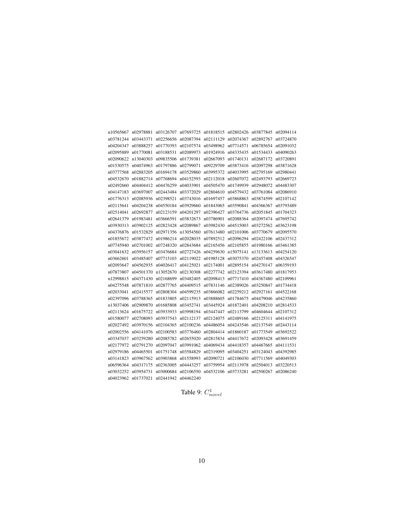n10565667 n02978881 n03126707 n07693725 n01818515 n02802426 n03877845 n02094114 n03781244 n03443371 n02256656 n02087394 n02111129 n02074367 n02892767 n03724870  ${\tt n04204347} \hspace{0.25cm} {\tt n03888257} \hspace{0.25cm} {\tt n01770393} \hspace{0.25cm} {\tt n02107574} \hspace{0.25cm} {\tt n03498962} \hspace{0.25cm} {\tt n07714571} \hspace{0.25cm} {\tt n06785654} \hspace{0.25cm} {\tt n02091032}$ n02095889 n01770081 n03188531 n02089973 n01924916 n04335435 n01534433 n04090263 n02090622 n13040303 n09835506 n01739381 n02667093 n01740131 n02687172 n03720891 n01530575 n04074963 n01797886 n02799071 n09229709 n03873416 n02097298 n03871628 n03777568 n02883205 n01694178 n03529860 n03995372 n04033995 n02795169 n02980441 n04532670 n01882714 n07768694 n04152593 n02112018 n02607072 n02493793 n02669723 n02492660 n04404412 n04476259 n04033901 n04505470 n01749939 n02948072 n04483307 n04147183 n03697007 n02443484 n03372029 n02804610 n04579432 n03761084 n02086910 n01776313 n02085936 n02398521 n03743016 n01697457 n03868863 n03874599 n02107142 n02115641 n04204238 n04550184 n03929660 n01843065 n03590841 n04366367 n03793489 n02514041 n02692877 n02123159 n04201297 n02396427 n03764736 n02051845 n01704323 n02641379 n01983481 n03666591 n03832673 n03786901 n02088364 n02097474 n07695742 n03930313 n03902125 n02823428 n02089867 n03982430 n04515003 n03272562 n03623198 n04376876 n01532829 n02971356 n13054560 n07613480 n02101006 n03770679 n02095570 n01855672 n03877472 n01986214 n02028035 n07892512 n02096294 n02422106 n02437312 n07745940 n02701002 n07248320 n02843684 n02165456 n02105855 n01980166 n03461385 n03041632 n03956157 n03476684 n02727426 n04259630 n15075141 n13133613 n04254120 n03662601 n03485407 n07715103 n02119022 n01985128 n03075370 n02457408 n04326547 n02093647 n04562935 n04026417 n04125021 n02174001 n02895154 n04270147 n06359193 n07873807 n04501370 n13052670 n02130308 n02277742 n02123394 n03617480 n01817953 n12998815 n04371430 n02168699 n03482405 n02098413 n07717410 n04367480 n02109961 n04275548 n07871810 n02877765 n04409515 n07831146 n02389026 n03250847 n01734418 n02033041 n02415577 n02808304 n04599235 n03866082 n02259212 n02927161 n04522168 n02397096 n03788365 n01833805 n02115913 n03888605 n01784675 n04479046 n04235860 n13037406 n02909870 n01685808 n03452741 n03445924 n01872401 n04208210 n02814533 n02113624 n01675722 n03933933 n03998194 n03447447 n02113799 n04604644 n02107312 n01580077 n02708093 n03937543 n02112137 n02124075 n02489166 n02125311 n04141975 n02027492 n03970156 n02104365 n02100236 n04486054 n04243546 n02137549 n02443114 n02002556 n04141076 n02100583 n03776460 n02804414 n01860187 n01773549 n03692522 n03347037 n03259280 n02085782 n02655020 n02815834 n04417672 n02093428 n03691459 n02177972 n02791270 n02097047 n03991062 n04069434 n04418357 n04467665 n04111531 n02979186 n04465501 n01751748 n03584829 n02319095 n03404251 n03124043 n04392985 n03141823 n03967562 n03903868 n01558993 n02090721 n02106030 n07711569 n04049303 n06596364 n04317175 n02363005 n04443257 n03759954 n02113978 n02504013 n03220513 n03032252 n03954731 n03000684 n02106550 n04532106 n03733281 n02500267 n02086240 n04023962 n01737021 n02441942 n04462240

Table 9:  $C_{novel}^1$